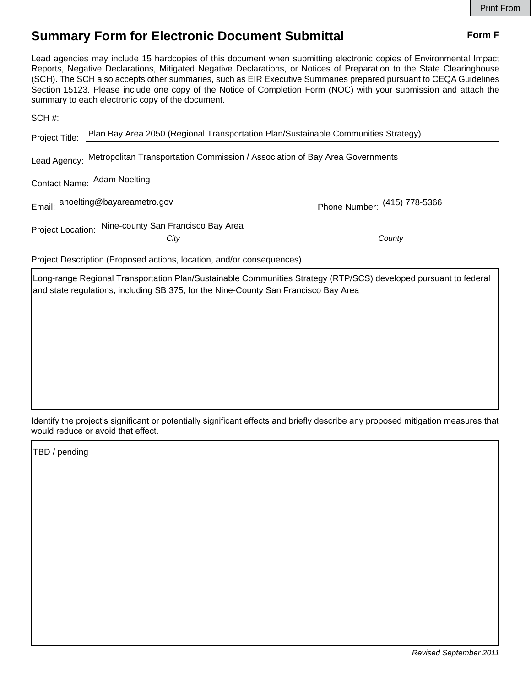## **Summary Form for Electronic Document Submittal Form F Form F**

Lead agencies may include 15 hardcopies of this document when submitting electronic copies of Environmental Impact Reports, Negative Declarations, Mitigated Negative Declarations, or Notices of Preparation to the State Clearinghouse (SCH). The SCH also accepts other summaries, such as EIR Executive Summaries prepared pursuant to CEQA Guidelines Section 15123. Please include one copy of the Notice of Completion Form (NOC) with your submission and attach the summary to each electronic copy of the document.

| Project Title:                                                                            | Plan Bay Area 2050 (Regional Transportation Plan/Sustainable Communities Strategy) |                              |
|-------------------------------------------------------------------------------------------|------------------------------------------------------------------------------------|------------------------------|
| Lead Agency: Metropolitan Transportation Commission / Association of Bay Area Governments |                                                                                    |                              |
|                                                                                           | Contact Name: Adam Noelting                                                        |                              |
|                                                                                           | Email: anoelting@bayareametro.gov                                                  | Phone Number: (415) 778-5366 |
|                                                                                           | Project Location: Nine-county San Francisco Bay Area                               |                              |
|                                                                                           | City                                                                               | County                       |
| Project Description (Proposed actions, location, and/or consequences).                    |                                                                                    |                              |

Long-range Regional Transportation Plan/Sustainable Communities Strategy (RTP/SCS) developed pursuant to federal and state regulations, including SB 375, for the Nine-County San Francisco Bay Area

Identify the project's significant or potentially significant effects and briefly describe any proposed mitigation measures that would reduce or avoid that effect.

TBD / pending